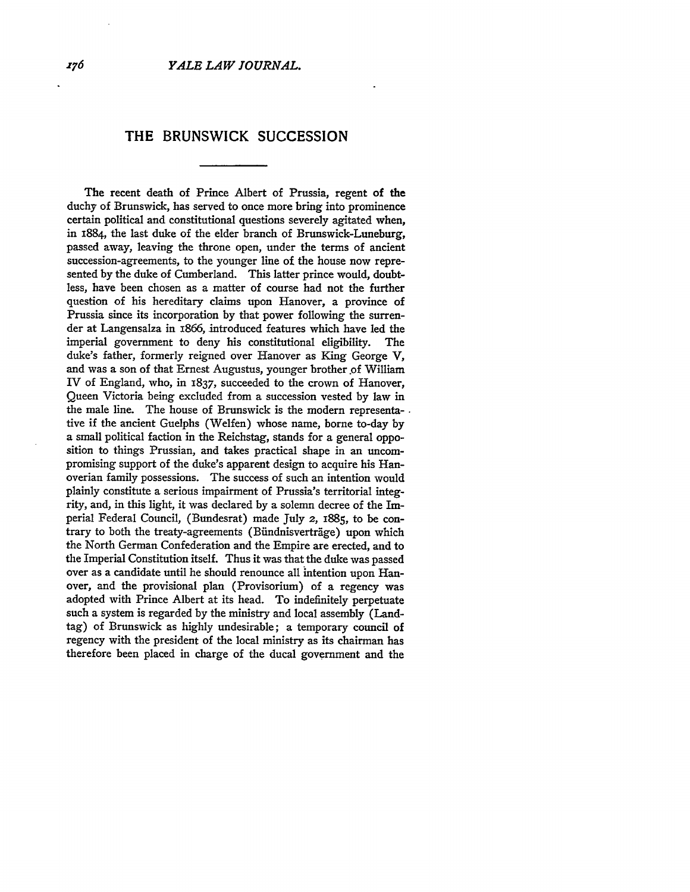## THE BRUNSWICK **SUCCESSION**

The recent death of Prince Albert of Prussia, regent of the duchy of Brunswick, has served to once more bring into prominence certain political and constitutional questions severely agitated when, in 1884, the last duke of the elder branch of Brunswick-Luneburg, passed away, leaving the throne open, under the terms of ancient succession-agreements, to the younger line of the house now represented by the duke of Cumberland. This latter prince would, doubtless, have been chosen as a matter of course had not the further question of his hereditary claims upon Hanover, a province of Prussia since its incorporation by that power following the surrender at Langensalza in 1866, introduced features which have led the imperial government to deny his constitutional eligibility. The duke's father, formerly reigned over Hanover as King George V, and was a son of that Ernest Augustus, younger brother of William IV of England, who, in 1837, succeeded to the crown of Hanover, Queen Victoria being excluded from a succession vested by law in the male line. The house of Brunswick is the modern representative if the ancient Guelphs (Welfen) whose name, borne to-day by a small political faction in the Reichstag, stands for a general opposition to things Prussian, and takes practical shape in an uncompromising support of the duke's apparent design to acquire his Hanoverian family possessions. The success of such an intention would plainly constitute a serious impairment of Prussia's territorial integrity, and, in this light, it was declared by a solemn decree of the Imperial Federal Council, (Bundesrat) made July 2, 1885, to be contrary to both the treaty-agreements (Bündnisverträge) upon which the North German Confederation and the Empire are erected, and to the Imperial Constitution itself. Thus it was that the duke was passed over as a candidate until he should renounce all intention upon Hanover, and the provisional plan (Provisorium) of a regency was adopted with Prince Albert at its head. To indefinitely perpetuate such a system is regarded by the ministry and local assembly (Landtag) of Brunswick as highly undesirable; a temporary council of regency with the president of the local ministry as its chairman has therefore been placed in charge of the ducal government and the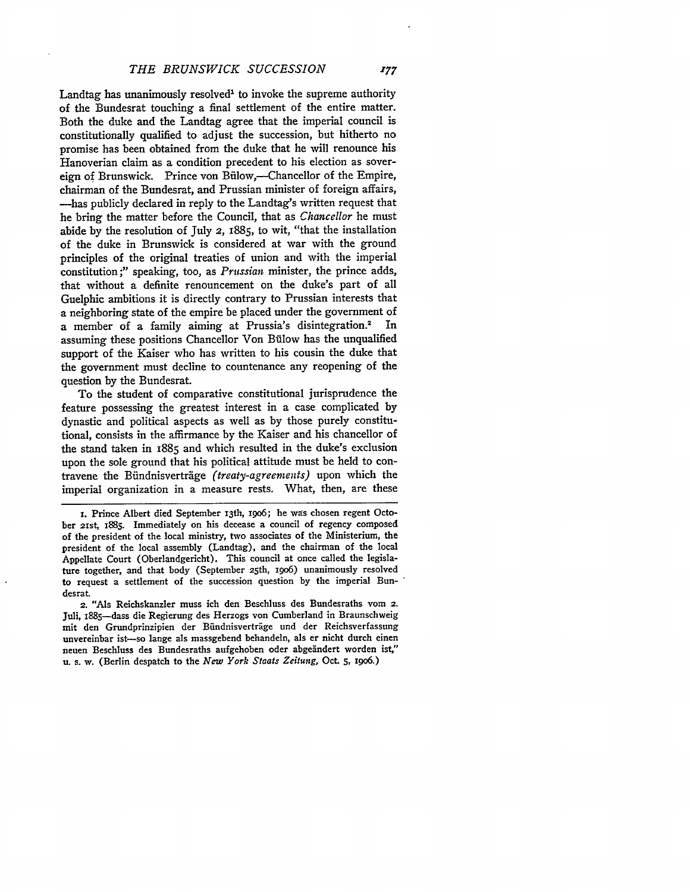Landtag has unanimously resolved<sup>1</sup> to invoke the supreme authority of the Bundesrat touching a final settlement of the entire matter. Both the duke and the Landtag agree that the imperial council is constitutionally qualified to adjust the succession, but hitherto no promise has been obtained from the duke that he will renounce his Hanoverian claim as a condition precedent to his election as sovereign of Brunswick. Prince von Bülow,—Chancellor of the Empire, chairman of the Bundesrat, and Prussian minister of foreign affairs, -has publicly declared in reply to the Landtag's written request that he bring the matter before the Council, that as *Chancellor* he must abide by the resolution of July 2, 1885, to wit, "that the installation of the duke in Brunswick is considered at war with the ground principles of the original treaties of union and with the imperial constitution;" speaking, too, as *Prussian* minister, the prince adds, that without a definite renouncement on the duke's part of all Guelphic ambitions it is directly contrary to Prussian interests that a neighboring state of the empire be placed under the government of a member of a family aiming at Prussia's disintegration.<sup>2</sup> In assuming these positions Chancellor Von Billow has the unqualified support of the Kaiser who has written to his cousin the duke that the government must decline to countenance any reopening of the question by the Bundesrat.

To the student of comparative constitutional jurisprudence the feature possessing the greatest interest in a case complicated by dynastic and political aspects as well as by those purely constitutional, consists in the affirmance by the Kaiser and his chancellor of the stand taken in 1885 and which resulted in the duke's exclusion upon the sole ground that his political attitude must be held to contravene the Bündnisverträge *(treaty-agreements)* upon which the imperial organization in a measure rests. What, then, are these

**x.** Prince Albert died September **13th,** i9o6; he was chosen regent October **2ist,** 1885. Immediately on his decease a council of regency composed of the president of the local ministry, two associates of the Ministerium, the president of the local assembly (Landtag), and the chairman of the local Appellate Court (Oberlandgericht). This council at once called the legislature together, and that body (September 25th, i9o6) unanimously resolved to request a settlement of the succession question **by** the imperial Bundesrat.

**2.** "Als Reichskanzler muss ich den Beschluss des Bundesraths vom **2.** Juli, i885-dass die Regierung des Herzogs von Cumberland in Braunschweig mit den Grundprinzipien der Bündnisverträge und der Reichsverfassung unvereinbar ist-so lange als massgebend behandeln, als er nicht durch einen neuen Beschluss des Bundesraths aufgehoben oder abgeändert worden ist," u. s. w. (Berlin despatch to the *New York Staats Zeitung,* Oct. **5,** x9o6.)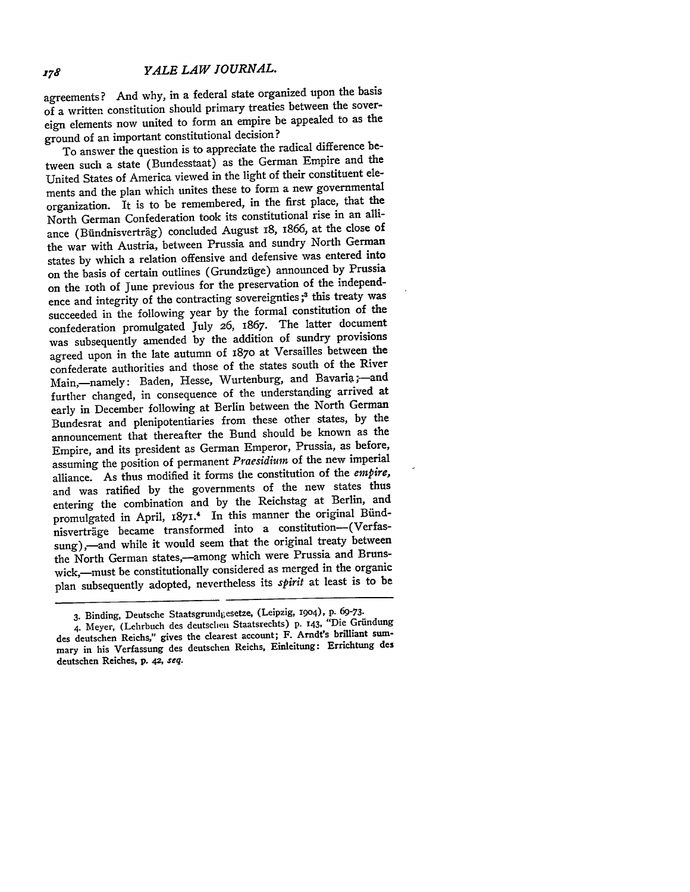agreements? And why, in a federal state organized upon the basis of a written constitution should primary treaties between the sovereign elements now united to form an empire be appealed to as the ground of an important constitutional decision?

To answer the question is to appreciate the radical difference between such a state (Bundesstaat) as the German Empire and the United States of America viewed in the light of their constituent elements and the plan which unites these to form a new governmental organization. It is to be remembered, in the first place, that the North German Confederation took its constitutional rise in an alliance (Bündnisverträg) concluded August 18, 1866, at the close of the war with Austria, between Prussia and sundry North German states by which a relation offensive and defensive was entered into on the basis of certain outlines (Grundziige) announced by Prussia on the ioth of June previous for the preservation of the independence and integrity of the contracting sovereignties;<sup>3</sup> this treaty was succeeded in the following year by the formal constitution of the confederation promulgated July 26, 1867. The latter document was subsequently amended by the addition of sundry provisions agreed upon in the late autumn of I87o at Versailles between the confederate authorities and those of the states south of the River Main,-namely: Baden, Hesse, Wurtenburg, and Bavaria;-and further changed, in consequence of the understanding arrived at early in December following at Berlin between the North German Bundesrat and plenipotentiaries from these other states, by the announcement that thereafter the Bund should be known as the Empire, and its president as German Emperor, Prussia, as before, assuming the position of permanent *Praesidium* of the new imperial alliance. As thus modified it forms the constitution of the empire, and was ratified by the governments of the new states thus entering the combination and by the Reichstag at Berlin, and promulgated in April, 1871.<sup>4</sup> In this manner the original Bündnisverträge became transformed into a constitution- (Verfassung),—and while it would seem that the original treaty between the North German states,-among which were Prussia and Brunswick,-must be constitutionally considered as merged in the organic plan subsequently adopted, nevertheless its *spirit* at least is to be

**<sup>3.</sup>** Binding, Deutsche Staatsgrudgesetze, (Leipzig, **1904),** P. **69-73.**

<sup>4.</sup> Meyer, (Lehrbuch des deutschien Staatsrechts) p. **143,** "Die Griindung des deutschen Reichs," gives the clearest account; F. Arndt's brilliant summary in his Verfassung des deutschen Reichs, Einleitung: Errichtung des deutschen Reiches, **p.** 42, *seq.*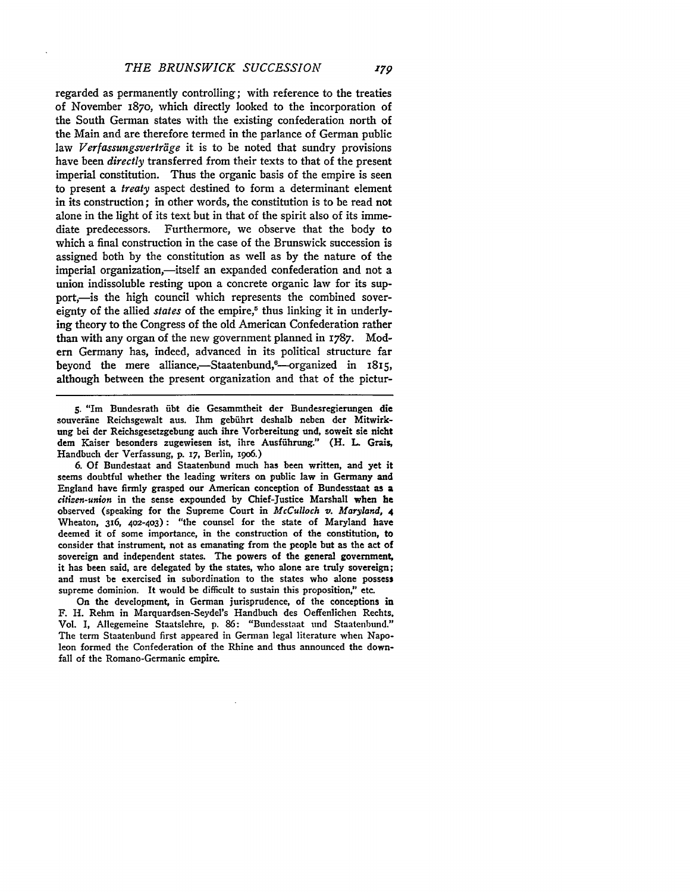regarded as permanently controlling; with reference to the treaties of November 187o, which directly looked to the incorporation of the South German states with the existing confederation north of the Main and are therefore termed in the parlance of German public law *Verfassungsvertrige* it is to be noted that sundry provisions have been *directly* transferred from their texts to that of the present imperial constitution. Thus the organic basis of the empire is seen to present a *treaty* aspect destined to form a determinant element in its construction; in other words, the constitution is to be read not alone in the light of its text but in that of the spirit also of its immediate predecessors. Furthermore, we observe that the body to which a final construction in the case of the Brunswick succession is assigned both **by** the constitution as well as **by** the nature of the imperial organization,—itself an expanded confederation and not a union indissoluble resting upon a concrete organic law for its support,--is the high council which represents the combined sovereignty of the allied *states* of the empire,<sup>5</sup> thus linking it in underlying theory to the Congress of the old American Confederation rather than with any organ of the new government planned in 1787. Modem Germany has, indeed, advanced in its political structure far beyond the mere alliance,—Staatenbund,<sup>6</sup>—organized in **I815**, although between the present organization and that of the pictur-

**5.** "Im Bundesrath iibt die Gesammtheit der Bundesregierungen die souveräne Reichsgewalt aus. Ihm gebührt deshalb neben der Mitwirkung bei der Reichsgesetzgebung auch ihre Vorbereitung und, soweit sic nicht dem Kaiser besonders zugewiesen ist, ihre Ausffihrung." (H. **L.** Grais, Handbuch der Verfassung, **p. 17,** Berlin, i9o6.)

**6.** Of Bundestaat and Staatenbund much has been written, and yet it seems doubtful whether the leading writers on public law in Germany and England have firmly grasped our American conception **of** Bundesstaat as a *citizen-union* in the sense expounded **by** Chief-Justice Marshall when he observed (speaking for the Supreme Court in *McCulloch v. Maryland, 4* Wheaton, 316, **402-403):** "the counsel for the state of Maryland have deemed it of some importance, in the construction of the constitution, to consider that instrument, not as emanating from the people but as the act of sovereign and independent states. The powers of the general government, it has been said, are delegated **by** the states, who alone are truly sovereign; and must be exercised in subordination to the states who alone possess supreme dominion. It would be difficult to sustain this proposition," etc.

On the development, in German jurisprudence, of the conceptions in F. H. Rehm in Marquardsen-Seydel's Handbuch des Oeffenlichen Rechts. Vol. I, Allegemeine Staatslehre, **p. 86:** "Bundesstaat und Staatenbund." The term Staatenbund first appeared in German legal literature when Napoleon formed the Confederation of the Rhine and thus announced the downfall of the Romano-Germanic empire.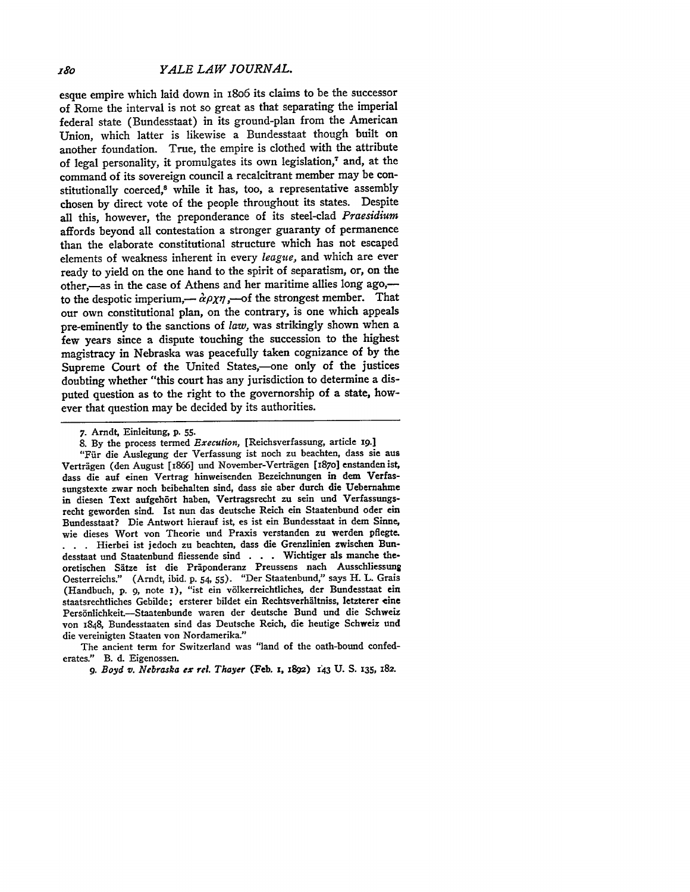*YALE LAW JOURNAL.*

esque empire which laid down in 18o6 its claims to be the successor of Rome the interval is not so great as that separating the imperial federal state (Bundesstaat) in its ground-plan from the American Union, which latter is likewise a Bundesstaat though built on another foundation. True, the empire is clothed with the attribute of legal personality, it promulgates its own legislation,<sup> $\tau$ </sup> and, at the command of its sovereign council a recalcitrant member may be constitutionally coerced,<sup>8</sup> while it has, too, a representative assembly chosen by direct vote of the people throughout its states. Despite all this, however, the preponderance of its steel-clad *Praesidium* affords beyond all contestation a stronger guaranty of permanence than the elaborate constitutional structure which has not escaped elements of weakness inherent in every *league,* and which are ever ready to yield on the one hand to the spirit of separatism, or, on the other,-as in the case of Athens and her maritime allies long ago,to the despotic imperium,- $\dot{\alpha}\rho\chi\eta$ ,-of the strongest member. That our own constitutional plan, on the contrary, is one which appeals pre-eminently to the sanctions of *law,* was strikingly shown when a few years since a dispute touching the succession to the highest magistracy in Nebraska was peacefully taken cognizance of by the Supreme Court of the United States,—one only of the justices doubting whether "this court has any jurisdiction to determine a disputed question as to the right to the governorship of a state, however that question may be decided by its authorities.

The ancient term for Switzerland was "land of the oath-bound confederates." B. **d.** Eigenossen.

*9. Boyd v. Nebraska ex rel. Thayer* (Feb. **i, x892) 143 U. S. 135, 182.**

180

**<sup>7.</sup>** Arndt, Einleitung, P. **55.**

<sup>8.</sup> By the process termed *Execution,* [Reichsverfassung, article **i9.]**

<sup>&</sup>quot;Fur die Auslegung der Verfassung ist noch zu beachten, dass sic aus Vertrigen (den August [1866] und November-Vertrigen [i87o] enstanden ist, dass die auf einen Vertrag hinweisenden Bezeichnungen in dem Verfassungstexte zwar noch beibehalten sind, dass sie aber durch die Uebernahme in diesen Text aufgehört haben, Vertragsrecht zu sein und Verfassungsrecht geworden sind. Ist nun das deutsche Reich **ein** Staatenbund oder **ein** Bundesstaat? Die Antwort hierauf ist, es ist **ein** Bundesstaat in dem Sinne, wie dieses Wort von Theorie und Praxis verstanden zu werden pflegte. **.** Hierbei ist jedoch zu beachten, dass die Grenzlinien zwischen Bundesstaat und Staatenbund fliessende sind **. . .** Wichtiger als manche theoretischen Sdtze ist die Priponderanz Preussens nach Ausschliessung Oesterreichs." (Arndt, ibid. p. **54, 55).** "Der Staatenbund," says H. L. Grais (Handbuch, **p. 9,** note **i),** "ist ein v61kerreichtliches, der Bundesstaat ein staatsrechtliches Gebilde; ersterer bildet **ein** Rechtsverhiltniss, letzterer cine Persönlichkeit.-Staatenbunde waren der deutsche Bund und die Schweiz von 1848, Bundesstaaten sind das Deutsche Reich, die heutige Schweiz und die vereinigten Staaten von Nordamerika."